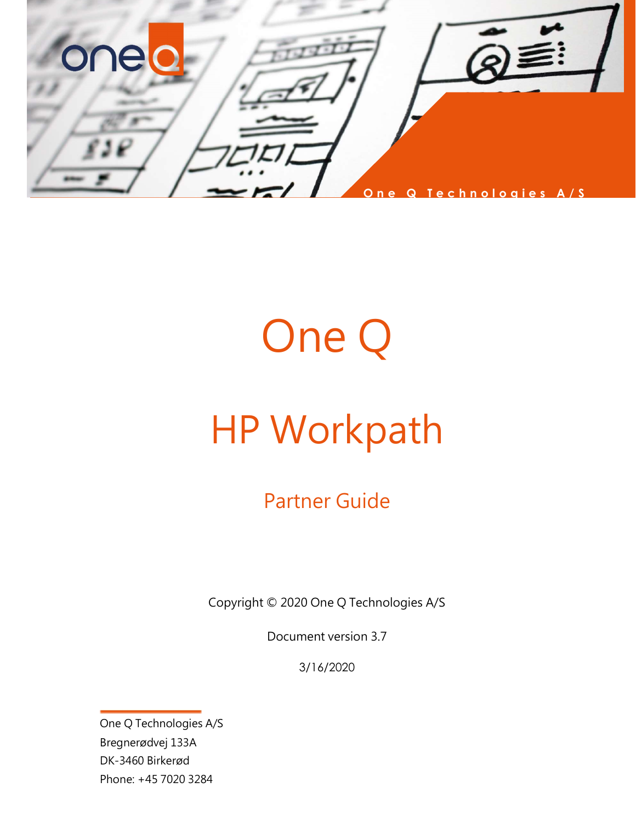

# One Q

## HP Workpath

Partner Guide

Copyright © 2020 One Q Technologies A/S

Document version 3.7

3/16/2020

One Q Technologies A/S Bregnerødvej 133A DK-3460 Birkerød Phone: +45 7020 3284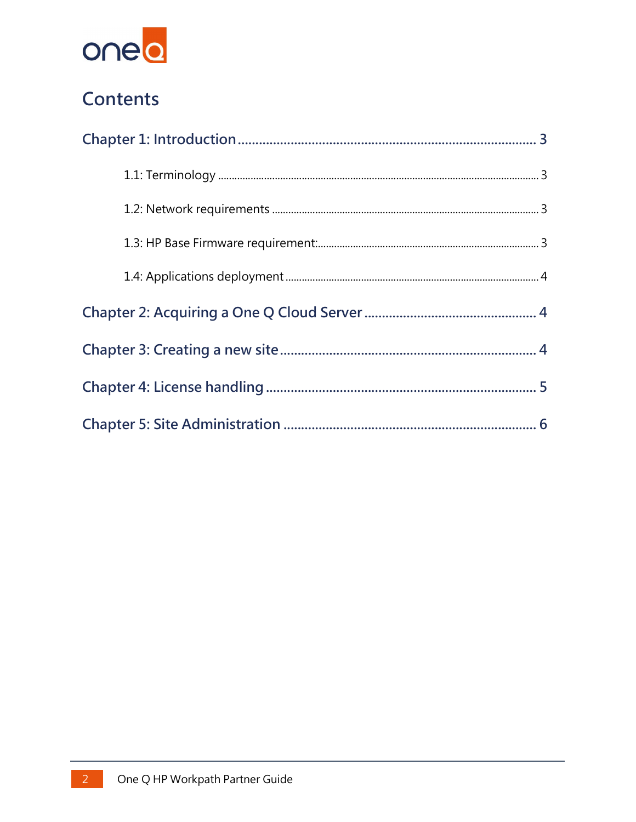

### Contents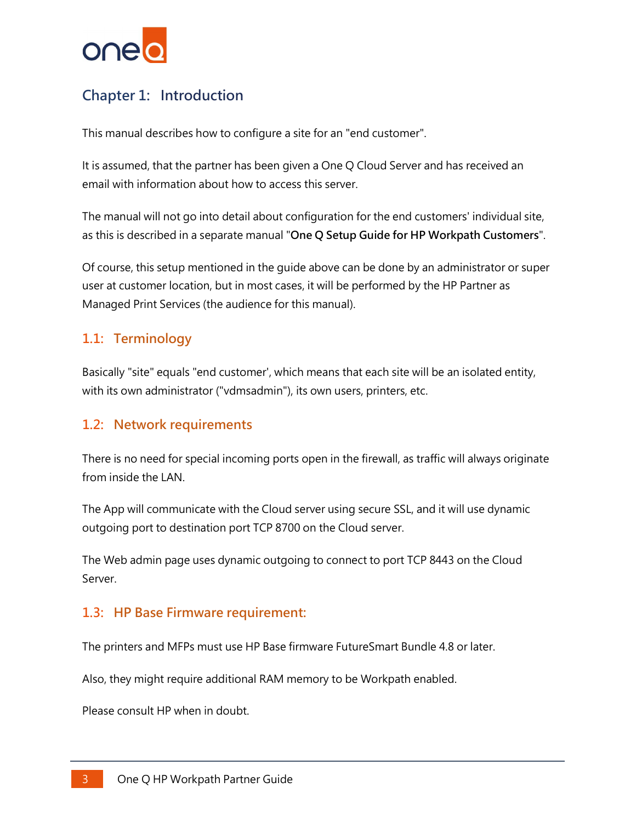

#### Chapter 1: Introduction

This manual describes how to configure a site for an "end customer".

It is assumed, that the partner has been given a One Q Cloud Server and has received an email with information about how to access this server.

The manual will not go into detail about configuration for the end customers' individual site, as this is described in a separate manual "One Q Setup Guide for HP Workpath Customers".

Of course, this setup mentioned in the guide above can be done by an administrator or super user at customer location, but in most cases, it will be performed by the HP Partner as Managed Print Services (the audience for this manual).

#### 1.1: Terminology

Basically "site" equals "end customer', which means that each site will be an isolated entity, with its own administrator ("vdmsadmin"), its own users, printers, etc.

#### 1.2: Network requirements

There is no need for special incoming ports open in the firewall, as traffic will always originate from inside the LAN.

The App will communicate with the Cloud server using secure SSL, and it will use dynamic outgoing port to destination port TCP 8700 on the Cloud server.

The Web admin page uses dynamic outgoing to connect to port TCP 8443 on the Cloud Server.

#### 1.3: HP Base Firmware requirement:

The printers and MFPs must use HP Base firmware FutureSmart Bundle 4.8 or later.

Also, they might require additional RAM memory to be Workpath enabled.

Please consult HP when in doubt.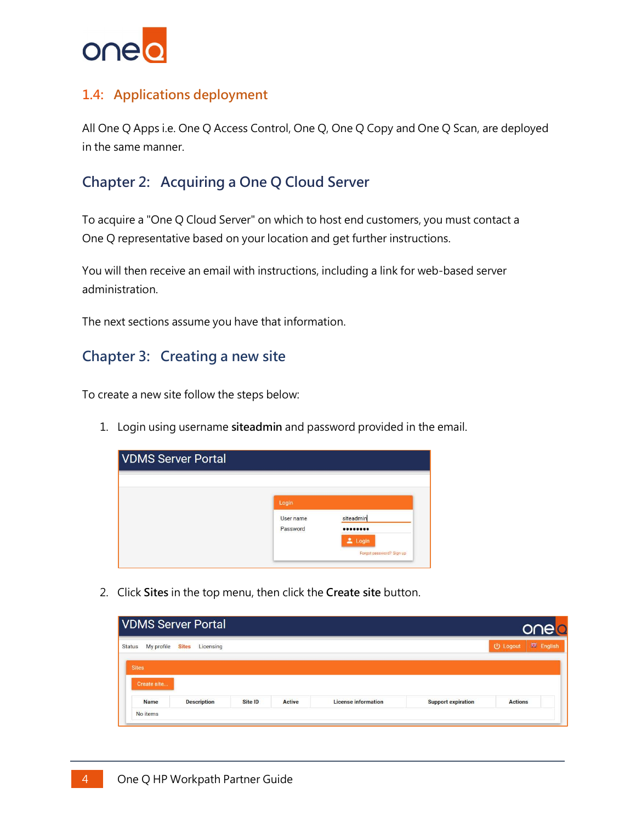

#### 1.4: Applications deployment

All One Q Apps i.e. One Q Access Control, One Q, One Q Copy and One Q Scan, are deployed in the same manner.

#### Chapter 2: Acquiring a One Q Cloud Server

To acquire a "One Q Cloud Server" on which to host end customers, you must contact a One Q representative based on your location and get further instructions.

You will then receive an email with instructions, including a link for web-based server administration.

The next sections assume you have that information.

#### Chapter 3: Creating a new site

To create a new site follow the steps below:

1. Login using username siteadmin and password provided in the email.



2. Click Sites in the top menu, then click the Create site button.

| <b>VDMS Server Portal</b>   | onelo                     |         |               |                            |                           |                              |
|-----------------------------|---------------------------|---------|---------------|----------------------------|---------------------------|------------------------------|
| My profile<br><b>Status</b> | Licensing<br><b>Sites</b> |         |               |                            |                           | <b>禁 English</b><br>U Logout |
| <b>Sites</b>                |                           |         |               |                            |                           |                              |
| Create site                 |                           |         |               |                            |                           |                              |
| <b>Name</b>                 | <b>Description</b>        | Site ID | <b>Active</b> | <b>License information</b> | <b>Support expiration</b> | <b>Actions</b>               |
| No items                    |                           |         |               |                            |                           |                              |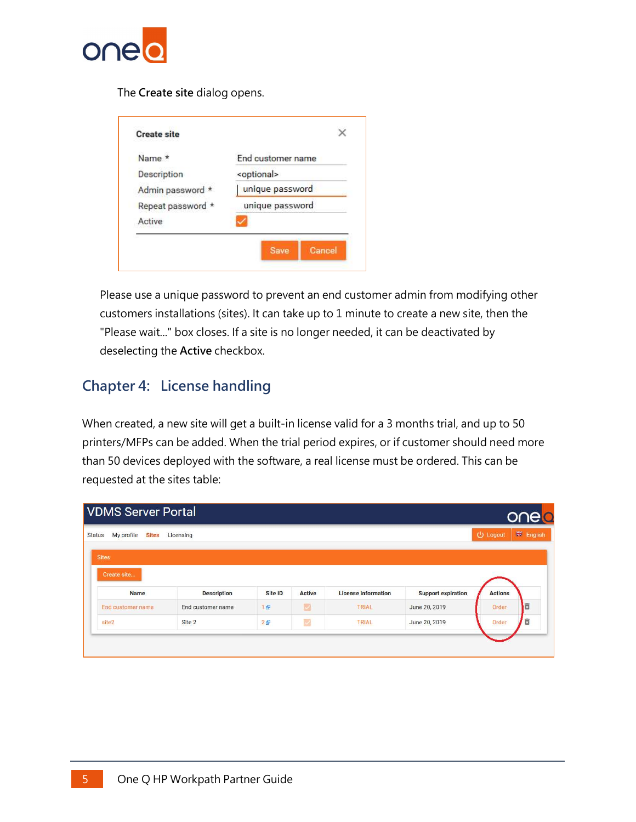

The Create site dialog opens.

| Name *            | End customer name     |
|-------------------|-----------------------|
| Description       | <optional></optional> |
| Admin password *  | unique password       |
| Repeat password * | unique password       |
| Active            |                       |

Please use a unique password to prevent an end customer admin from modifying other customers installations (sites). It can take up to 1 minute to create a new site, then the "Please wait..." box closes. If a site is no longer needed, it can be deactivated by deselecting the Active checkbox.

#### Chapter 4: License handling

When created, a new site will get a built-in license valid for a 3 months trial, and up to 50 printers/MFPs can be added. When the trial period expires, or if customer should need more than 50 devices deployed with the software, a real license must be ordered. This can be requested at the sites table:

| <b>VDMS Server Portal</b>                   |                    |         |                          |                            |                           |                | onelo            |  |  |
|---------------------------------------------|--------------------|---------|--------------------------|----------------------------|---------------------------|----------------|------------------|--|--|
| My profile<br><b>Status</b><br><b>Sites</b> | Licensing          |         |                          |                            |                           | U Logout       | <b>端 English</b> |  |  |
| <b>Sites</b>                                |                    |         |                          |                            |                           |                |                  |  |  |
|                                             |                    |         |                          |                            |                           |                |                  |  |  |
| Create site                                 |                    |         |                          |                            |                           |                |                  |  |  |
| <b>Name</b>                                 | <b>Description</b> | Site ID | <b>Active</b>            | <b>License information</b> | <b>Support expiration</b> | <b>Actions</b> |                  |  |  |
| End customer name                           | End customer name  | 1日      | $\overline{\mathcal{L}}$ | TRIAL                      | June 20, 2019             | Order          | 同                |  |  |